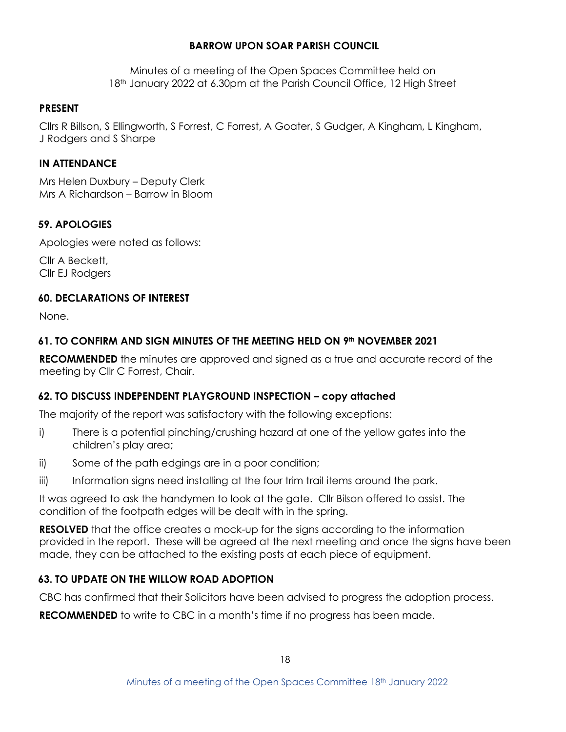### **BARROW UPON SOAR PARISH COUNCIL**

Minutes of a meeting of the Open Spaces Committee held on 18th January 2022 at 6.30pm at the Parish Council Office, 12 High Street

### **PRESENT**

Cllrs R Billson, S Ellingworth, S Forrest, C Forrest, A Goater, S Gudger, A Kingham, L Kingham, J Rodgers and S Sharpe

## **IN ATTENDANCE**

Mrs Helen Duxbury – Deputy Clerk Mrs A Richardson – Barrow in Bloom

# **59. APOLOGIES**

Apologies were noted as follows:

Cllr A Beckett, Cllr EJ Rodgers

### **60. DECLARATIONS OF INTEREST**

None.

# **61. TO CONFIRM AND SIGN MINUTES OF THE MEETING HELD ON 9th NOVEMBER 2021**

**RECOMMENDED** the minutes are approved and signed as a true and accurate record of the meeting by Cllr C Forrest, Chair.

# **62. TO DISCUSS INDEPENDENT PLAYGROUND INSPECTION – copy attached**

The majority of the report was satisfactory with the following exceptions:

- i) There is a potential pinching/crushing hazard at one of the yellow gates into the children's play area;
- ii) Some of the path edgings are in a poor condition;
- iii) Information signs need installing at the four trim trail items around the park.

It was agreed to ask the handymen to look at the gate. Cllr Bilson offered to assist. The condition of the footpath edges will be dealt with in the spring.

**RESOLVED** that the office creates a mock-up for the signs according to the information provided in the report. These will be agreed at the next meeting and once the signs have been made, they can be attached to the existing posts at each piece of equipment.

# **63. TO UPDATE ON THE WILLOW ROAD ADOPTION**

CBC has confirmed that their Solicitors have been advised to progress the adoption process.

**RECOMMENDED** to write to CBC in a month's time if no progress has been made.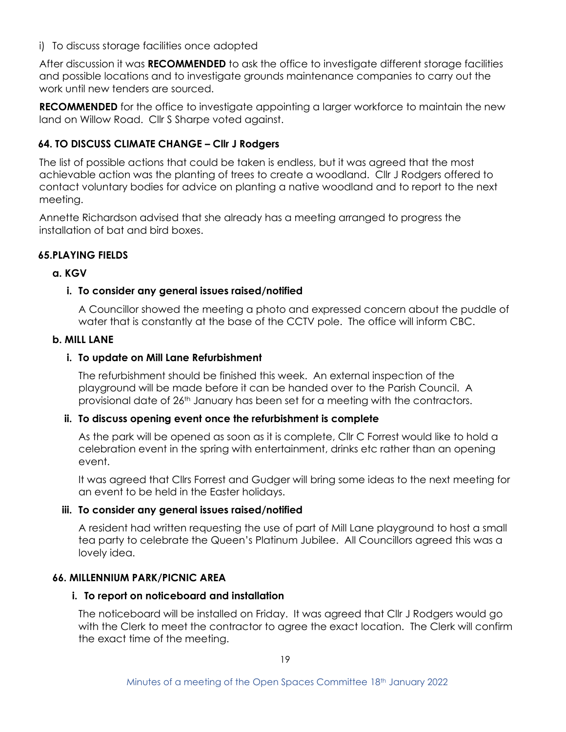# i) To discuss storage facilities once adopted

After discussion it was **RECOMMENDED** to ask the office to investigate different storage facilities and possible locations and to investigate grounds maintenance companies to carry out the work until new tenders are sourced.

**RECOMMENDED** for the office to investigate appointing a larger workforce to maintain the new land on Willow Road. Cllr S Sharpe voted against.

# **64. TO DISCUSS CLIMATE CHANGE – Cllr J Rodgers**

The list of possible actions that could be taken is endless, but it was agreed that the most achievable action was the planting of trees to create a woodland. Cllr J Rodgers offered to contact voluntary bodies for advice on planting a native woodland and to report to the next meeting.

Annette Richardson advised that she already has a meeting arranged to progress the installation of bat and bird boxes.

# **65.PLAYING FIELDS**

# **a. KGV**

# **i. To consider any general issues raised/notified**

A Councillor showed the meeting a photo and expressed concern about the puddle of water that is constantly at the base of the CCTV pole. The office will inform CBC.

#### **b. MILL LANE**

# **i. To update on Mill Lane Refurbishment**

The refurbishment should be finished this week. An external inspection of the playground will be made before it can be handed over to the Parish Council. A provisional date of 26<sup>th</sup> January has been set for a meeting with the contractors.

# **ii. To discuss opening event once the refurbishment is complete**

As the park will be opened as soon as it is complete, Cllr C Forrest would like to hold a celebration event in the spring with entertainment, drinks etc rather than an opening event.

It was agreed that Cllrs Forrest and Gudger will bring some ideas to the next meeting for an event to be held in the Easter holidays.

# **iii. To consider any general issues raised/notified**

A resident had written requesting the use of part of Mill Lane playground to host a small tea party to celebrate the Queen's Platinum Jubilee. All Councillors agreed this was a lovely idea.

#### **66. MILLENNIUM PARK/PICNIC AREA**

#### **i. To report on noticeboard and installation**

The noticeboard will be installed on Friday. It was agreed that Cllr J Rodgers would go with the Clerk to meet the contractor to agree the exact location. The Clerk will confirm the exact time of the meeting.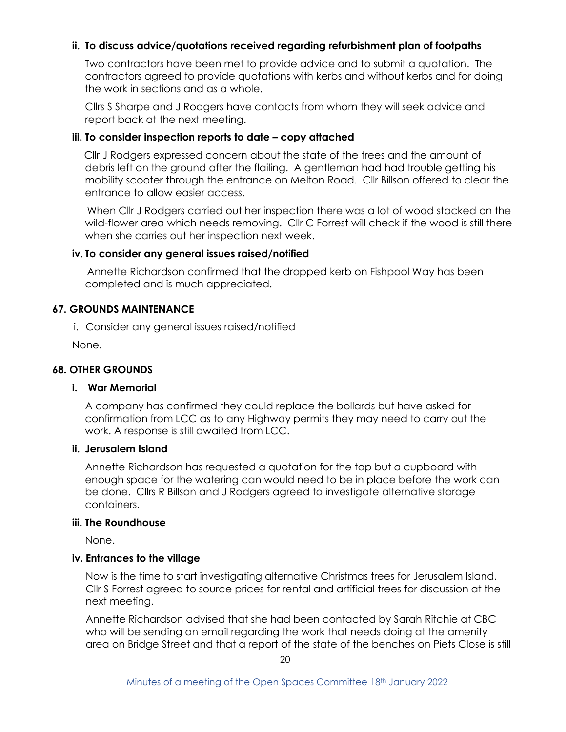# **ii. To discuss advice/quotations received regarding refurbishment plan of footpaths**

Two contractors have been met to provide advice and to submit a quotation. The contractors agreed to provide quotations with kerbs and without kerbs and for doing the work in sections and as a whole.

Cllrs S Sharpe and J Rodgers have contacts from whom they will seek advice and report back at the next meeting.

#### **iii. To consider inspection reports to date – copy attached**

 Cllr J Rodgers expressed concern about the state of the trees and the amount of debris left on the ground after the flailing. A gentleman had had trouble getting his mobility scooter through the entrance on Melton Road. Cllr Billson offered to clear the entrance to allow easier access.

 When Cllr J Rodgers carried out her inspection there was a lot of wood stacked on the wild-flower area which needs removing. Cllr C Forrest will check if the wood is still there when she carries out her inspection next week.

#### **iv. To consider any general issues raised/notified**

 Annette Richardson confirmed that the dropped kerb on Fishpool Way has been completed and is much appreciated.

#### **67. GROUNDS MAINTENANCE**

i. Consider any general issues raised/notified

None.

#### **68. OTHER GROUNDS**

#### **i. War Memorial**

A company has confirmed they could replace the bollards but have asked for confirmation from LCC as to any Highway permits they may need to carry out the work. A response is still awaited from LCC.

#### **ii. Jerusalem Island**

Annette Richardson has requested a quotation for the tap but a cupboard with enough space for the watering can would need to be in place before the work can be done. Cllrs R Billson and J Rodgers agreed to investigate alternative storage containers.

#### **iii. The Roundhouse**

None.

#### **iv. Entrances to the village**

Now is the time to start investigating alternative Christmas trees for Jerusalem Island. Cllr S Forrest agreed to source prices for rental and artificial trees for discussion at the next meeting.

Annette Richardson advised that she had been contacted by Sarah Ritchie at CBC who will be sending an email regarding the work that needs doing at the amenity area on Bridge Street and that a report of the state of the benches on Piets Close is still